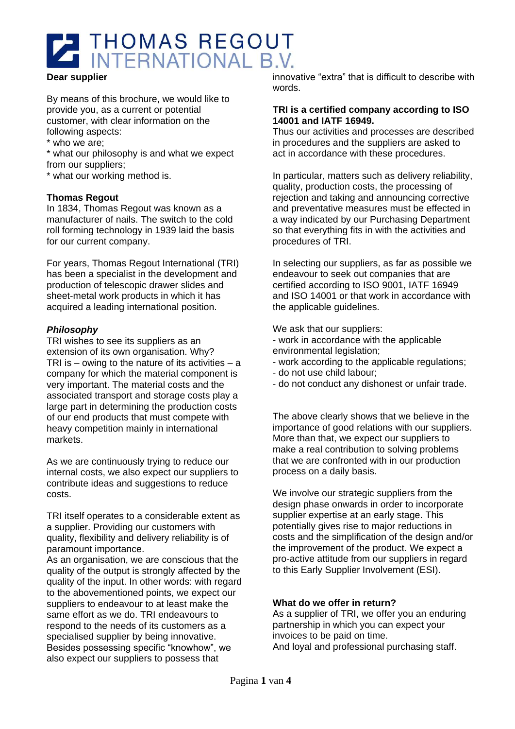

#### **Dear supplier**

By means of this brochure, we would like to provide you, as a current or potential customer, with clear information on the following aspects:

\* who we are;

\* what our philosophy is and what we expect from our suppliers;

\* what our working method is.

### **Thomas Regout**

In 1834, Thomas Regout was known as a manufacturer of nails. The switch to the cold roll forming technology in 1939 laid the basis for our current company.

For years, Thomas Regout International (TRI) has been a specialist in the development and production of telescopic drawer slides and sheet-metal work products in which it has acquired a leading international position.

### *Philosophy*

TRI wishes to see its suppliers as an extension of its own organisation. Why? TRI is  $-$  owing to the nature of its activities  $-$  a company for which the material component is very important. The material costs and the associated transport and storage costs play a large part in determining the production costs of our end products that must compete with heavy competition mainly in international markets.

As we are continuously trying to reduce our internal costs, we also expect our suppliers to contribute ideas and suggestions to reduce costs.

TRI itself operates to a considerable extent as a supplier. Providing our customers with quality, flexibility and delivery reliability is of paramount importance.

As an organisation, we are conscious that the quality of the output is strongly affected by the quality of the input. In other words: with regard to the abovementioned points, we expect our suppliers to endeavour to at least make the same effort as we do. TRI endeavours to respond to the needs of its customers as a specialised supplier by being innovative. Besides possessing specific "knowhow", we also expect our suppliers to possess that

innovative "extra" that is difficult to describe with words.

#### **TRI is a certified company according to ISO 14001 and IATF 16949.**

Thus our activities and processes are described in procedures and the suppliers are asked to act in accordance with these procedures.

In particular, matters such as delivery reliability, quality, production costs, the processing of rejection and taking and announcing corrective and preventative measures must be effected in a way indicated by our Purchasing Department so that everything fits in with the activities and procedures of TRI.

In selecting our suppliers, as far as possible we endeavour to seek out companies that are certified according to ISO 9001, IATF 16949 and ISO 14001 or that work in accordance with the applicable guidelines.

We ask that our suppliers:

- work in accordance with the applicable environmental legislation;
- work according to the applicable regulations;
- do not use child labour;
- do not conduct any dishonest or unfair trade.

The above clearly shows that we believe in the importance of good relations with our suppliers. More than that, we expect our suppliers to make a real contribution to solving problems that we are confronted with in our production process on a daily basis.

We involve our strategic suppliers from the design phase onwards in order to incorporate supplier expertise at an early stage. This potentially gives rise to major reductions in costs and the simplification of the design and/or the improvement of the product. We expect a pro-active attitude from our suppliers in regard to this Early Supplier Involvement (ESI).

### **What do we offer in return?**

As a supplier of TRI, we offer you an enduring partnership in which you can expect your invoices to be paid on time. And loyal and professional purchasing staff.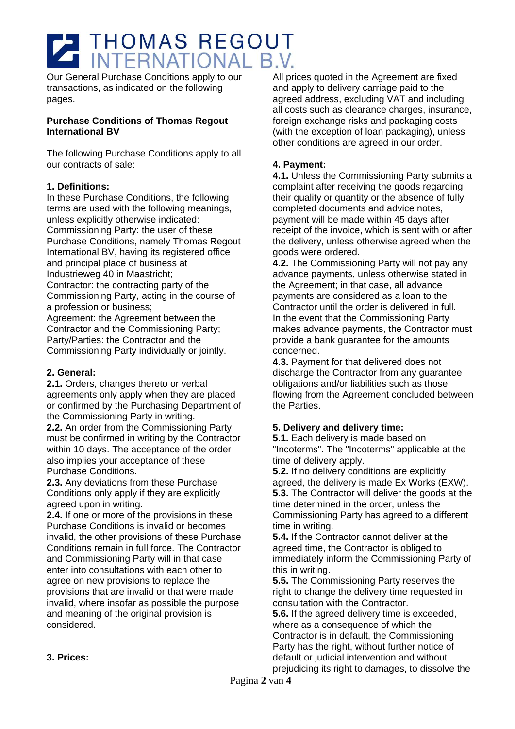# THOMAS REGOUT

Our General Purchase Conditions apply to our transactions, as indicated on the following pages.

## **Purchase Conditions of Thomas Regout International BV**

The following Purchase Conditions apply to all our contracts of sale:

# **1. Definitions:**

In these Purchase Conditions, the following terms are used with the following meanings, unless explicitly otherwise indicated: Commissioning Party: the user of these Purchase Conditions, namely Thomas Regout International BV, having its registered office and principal place of business at Industrieweg 40 in Maastricht; Contractor: the contracting party of the Commissioning Party, acting in the course of a profession or business;

Agreement: the Agreement between the Contractor and the Commissioning Party; Party/Parties: the Contractor and the Commissioning Party individually or jointly.

# **2. General:**

**2.1.** Orders, changes thereto or verbal agreements only apply when they are placed or confirmed by the Purchasing Department of the Commissioning Party in writing.

**2.2.** An order from the Commissioning Party must be confirmed in writing by the Contractor within 10 days. The acceptance of the order also implies your acceptance of these Purchase Conditions.

**2.3.** Any deviations from these Purchase Conditions only apply if they are explicitly agreed upon in writing.

**2.4.** If one or more of the provisions in these Purchase Conditions is invalid or becomes invalid, the other provisions of these Purchase Conditions remain in full force. The Contractor and Commissioning Party will in that case enter into consultations with each other to agree on new provisions to replace the provisions that are invalid or that were made invalid, where insofar as possible the purpose and meaning of the original provision is considered.

All prices quoted in the Agreement are fixed and apply to delivery carriage paid to the agreed address, excluding VAT and including all costs such as clearance charges, insurance, foreign exchange risks and packaging costs (with the exception of loan packaging), unless other conditions are agreed in our order.

# **4. Payment:**

**4.1.** Unless the Commissioning Party submits a complaint after receiving the goods regarding their quality or quantity or the absence of fully completed documents and advice notes, payment will be made within 45 days after receipt of the invoice, which is sent with or after the delivery, unless otherwise agreed when the goods were ordered.

**4.2.** The Commissioning Party will not pay any advance payments, unless otherwise stated in the Agreement; in that case, all advance payments are considered as a loan to the Contractor until the order is delivered in full. In the event that the Commissioning Party makes advance payments, the Contractor must provide a bank guarantee for the amounts concerned.

**4.3.** Payment for that delivered does not discharge the Contractor from any guarantee obligations and/or liabilities such as those flowing from the Agreement concluded between the Parties.

# **5. Delivery and delivery time:**

**5.1.** Each delivery is made based on "Incoterms". The "Incoterms" applicable at the time of delivery apply.

**5.2.** If no delivery conditions are explicitly agreed, the delivery is made Ex Works (EXW). **5.3.** The Contractor will deliver the goods at the time determined in the order, unless the Commissioning Party has agreed to a different time in writing.

**5.4.** If the Contractor cannot deliver at the agreed time, the Contractor is obliged to immediately inform the Commissioning Party of this in writing.

**5.5.** The Commissioning Party reserves the right to change the delivery time requested in consultation with the Contractor.

**5.6.** If the agreed delivery time is exceeded, where as a consequence of which the Contractor is in default, the Commissioning Party has the right, without further notice of default or judicial intervention and without prejudicing its right to damages, to dissolve the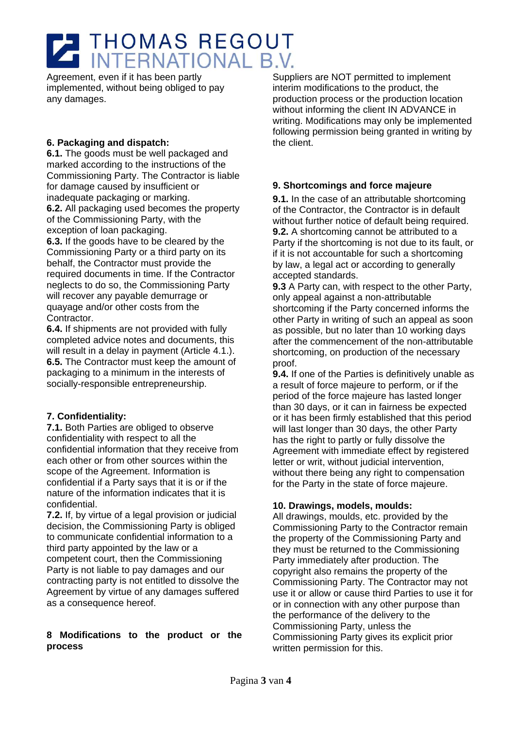# THOMAS REGOUT

Agreement, even if it has been partly implemented, without being obliged to pay any damages.

# **6. Packaging and dispatch:**

**6.1.** The goods must be well packaged and marked according to the instructions of the Commissioning Party. The Contractor is liable for damage caused by insufficient or inadequate packaging or marking.

**6.2.** All packaging used becomes the property of the Commissioning Party, with the exception of loan packaging.

**6.3.** If the goods have to be cleared by the Commissioning Party or a third party on its behalf, the Contractor must provide the required documents in time. If the Contractor neglects to do so, the Commissioning Party will recover any payable demurrage or quayage and/or other costs from the Contractor.

**6.4.** If shipments are not provided with fully completed advice notes and documents, this will result in a delay in payment (Article 4.1.). **6.5.** The Contractor must keep the amount of packaging to a minimum in the interests of socially-responsible entrepreneurship.

# **7. Confidentiality:**

**7.1.** Both Parties are obliged to observe confidentiality with respect to all the confidential information that they receive from each other or from other sources within the scope of the Agreement. Information is confidential if a Party says that it is or if the nature of the information indicates that it is confidential.

**7.2.** If, by virtue of a legal provision or judicial decision, the Commissioning Party is obliged to communicate confidential information to a third party appointed by the law or a competent court, then the Commissioning Party is not liable to pay damages and our contracting party is not entitled to dissolve the Agreement by virtue of any damages suffered as a consequence hereof.

# **8 Modifications to the product or the process**

Suppliers are NOT permitted to implement interim modifications to the product, the production process or the production location without informing the client IN ADVANCE in writing. Modifications may only be implemented following permission being granted in writing by the client.

# **9. Shortcomings and force majeure**

**9.1.** In the case of an attributable shortcoming of the Contractor, the Contractor is in default without further notice of default being required. **9.2.** A shortcoming cannot be attributed to a Party if the shortcoming is not due to its fault, or if it is not accountable for such a shortcoming by law, a legal act or according to generally accepted standards.

**9.3** A Party can, with respect to the other Party, only appeal against a non-attributable shortcoming if the Party concerned informs the other Party in writing of such an appeal as soon as possible, but no later than 10 working days after the commencement of the non-attributable shortcoming, on production of the necessary proof.

**9.4.** If one of the Parties is definitively unable as a result of force majeure to perform, or if the period of the force majeure has lasted longer than 30 days, or it can in fairness be expected or it has been firmly established that this period will last longer than 30 days, the other Party has the right to partly or fully dissolve the Agreement with immediate effect by registered letter or writ, without judicial intervention, without there being any right to compensation for the Party in the state of force majeure.

# **10. Drawings, models, moulds:**

All drawings, moulds, etc. provided by the Commissioning Party to the Contractor remain the property of the Commissioning Party and they must be returned to the Commissioning Party immediately after production. The copyright also remains the property of the Commissioning Party. The Contractor may not use it or allow or cause third Parties to use it for or in connection with any other purpose than the performance of the delivery to the Commissioning Party, unless the Commissioning Party gives its explicit prior written permission for this.